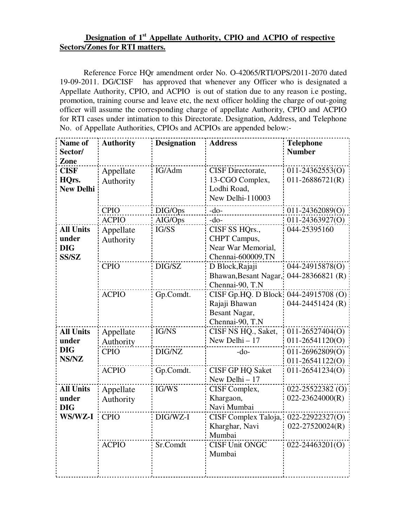## **Designation of 1st Appellate Authority, CPIO and ACPIO of respective Sectors/Zones for RTI matters.**

 Reference Force HQr amendment order No. O-42065/RTI/OPS/2011-2070 dated 19-09-2011. DG/CISF has approved that whenever any Officer who is designated a Appellate Authority, CPIO, and ACPIO is out of station due to any reason i.e posting, promotion, training course and leave etc, the next officer holding the charge of out-going officer will assume the corresponding charge of appellate Authority, CPIO and ACPIO for RTI cases under intimation to this Directorate. Designation, Address, and Telephone No. of Appellate Authorities, CPIOs and ACPIOs are appended below:-

| Name of<br>Sector/                                      | <b>Authority</b>       | <b>Designation</b> | <b>Address</b>                                                            | <b>Telephone</b><br><b>Number</b>          |
|---------------------------------------------------------|------------------------|--------------------|---------------------------------------------------------------------------|--------------------------------------------|
| Zone                                                    |                        |                    |                                                                           |                                            |
| <b>CISF</b>                                             | Appellate              | IG/Adm             | CISF Directorate,                                                         | 011-24362553(O)                            |
| HQrs.<br><b>New Delhi</b>                               | Authority              |                    | 13-CGO Complex,<br>Lodhi Road,<br>New Delhi-110003                        | $011 - 26886721(R)$                        |
|                                                         | <b>CPIO</b>            | DIG/Ops            | $-do-$                                                                    | 011-24362089(O)                            |
|                                                         | <b>ACPIO</b>           | AIG/Ops            | $-do-$                                                                    | 011-24363927(O)                            |
| <b>All Units</b><br>under<br><b>DIG</b><br><b>SS/SZ</b> | Appellate<br>Authority | IG/SS              | CISF SS HQrs.,<br>CHPT Campus,<br>Near War Memorial,<br>Chennai-600009,TN | 044-25395160                               |
|                                                         | <b>CPIO</b>            | DIG/SZ             | D Block, Rajaji<br>Bhawan, Besant Nagar,<br>Chennai-90, T.N               | 044-24915878(O)<br>044-28366821 (R)        |
|                                                         | <b>ACPIO</b>           | Gp.Comdt.          | CISF Gp.HQ. D Block<br>Rajaji Bhawan<br>Besant Nagar,<br>Chennai-90, T.N  | 044-24915708 (O)<br>044-24451424 (R)       |
| <b>All Units</b><br>under                               | Appellate<br>Authority | IG/NS              | CISF NS HQ., Saket,<br>New Delhi - 17                                     | 011-26527404(O)<br>$011-26541120(O)$       |
| <b>DIG</b><br>NS/NZ                                     | <b>CPIO</b>            | DIG/NZ             | $-do-$                                                                    | $011 - 26962809(O)$<br>$011 - 26541122(0)$ |
|                                                         | <b>ACPIO</b>           | Gp.Comdt.          | <b>CISF GP HQ Saket</b><br>New Delhi - 17                                 | 011-26541234(O)                            |
| <b>All Units</b><br>under<br><b>DIG</b>                 | Appellate<br>Authority | IG/WS              | CISF Complex,<br>Khargaon,<br>Navi Mumbai                                 | 022-25522382 (O)<br>$022 - 23624000(R)$    |
| WS/WZ-I                                                 | <b>CPIO</b>            | DIG/WZ-I           | CISF Complex Taloja,<br>Kharghar, Navi<br>Mumbai                          | 022-22922327(O)<br>$022 - 27520024(R)$     |
|                                                         | <b>ACPIO</b>           | Sr.Comdt           | <b>CISF Unit ONGC</b><br>Mumbai                                           | $022 - 24463201(O)$                        |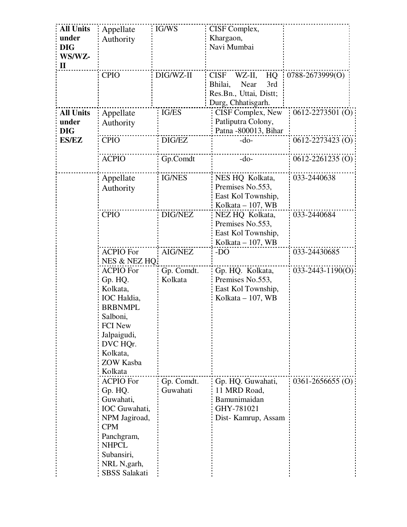| <b>All Units</b><br>under | Appellate<br>Authority      | IG/WS                  | CISF Complex,<br>Khargaon,              |                        |
|---------------------------|-----------------------------|------------------------|-----------------------------------------|------------------------|
| <b>DIG</b>                |                             |                        | Navi Mumbai                             |                        |
| WS/WZ-<br>П               |                             |                        |                                         |                        |
|                           | <b>CPIO</b>                 | DIG/WZ-II              | <b>CISF</b><br>WZ-II,<br>HQ             | 0788-2673999(O)        |
|                           |                             |                        | Near<br>3rd<br>Bhilai,                  |                        |
|                           |                             |                        | Res.Bn., Uttai, Distt;                  |                        |
| <b>All Units</b>          |                             | IG/ES                  | Durg, Chhatisgarh.<br>CISF Complex, New | $0612 - 2273501$ (O)   |
| under                     | Appellate<br>Authority      |                        | Patliputra Colony,                      |                        |
| <b>DIG</b>                |                             |                        | Patna -800013, Bihar                    |                        |
| <b>ES/EZ</b>              | <b>CPIO</b>                 | DIG/EZ                 | $-do-$                                  | $0612 - 2273423$ (O)   |
|                           | <b>ACPIO</b>                | Gp.Comdt               | $-do-$                                  | $0612 - 2261235(0)$    |
|                           | Appellate                   | <b>IG/NES</b>          | NES HQ Kolkata,                         | 033-2440638            |
|                           | Authority                   |                        | Premises No.553,<br>East Kol Township,  |                        |
|                           |                             |                        | Kolkata – 107, WB                       |                        |
|                           | <b>CPIO</b>                 | DIG/NEZ                | NEZ HQ Kolkata,                         | 033-2440684            |
|                           |                             |                        | Premises No.553,                        |                        |
|                           |                             |                        | East Kol Township,<br>Kolkata – 107, WB |                        |
|                           | <b>ACPIO For</b>            | AIG/NEZ                | -DO                                     | 033-24430685           |
|                           | NES & NEZ HQ.               |                        |                                         |                        |
|                           | <b>ACPIO For</b>            | Gp. Comdt.             | Gp. HQ. Kolkata,                        | $033 - 2443 - 1190(0)$ |
|                           | Gp. HQ.<br>Kolkata,         | Kolkata                | Premises No.553,                        |                        |
|                           | IOC Haldia,                 |                        | East Kol Township,<br>Kolkata - 107, WB |                        |
|                           | <b>BRBNMPL</b>              |                        |                                         |                        |
|                           | Salboni,                    |                        |                                         |                        |
|                           | <b>FCI New</b>              |                        |                                         |                        |
|                           | Jalpaigudi,<br>DVC HQr.     |                        |                                         |                        |
|                           | Kolkata.                    |                        |                                         |                        |
|                           | <b>ZOW Kasba</b>            |                        |                                         |                        |
|                           | Kolkata                     |                        |                                         |                        |
|                           | <b>ACPIO For</b><br>Gp. HQ. | Gp. Comdt.<br>Guwahati | Gp. HQ. Guwahati,<br>11 MRD Road,       | $0361 - 2656655$ (O)   |
|                           | Guwahati,                   |                        | Bamunimaidan                            |                        |
|                           | IOC Guwahati,               |                        | GHY-781021                              |                        |
|                           | NPM Jagiroad,               |                        | Dist-Kamrup, Assam                      |                        |
|                           | <b>CPM</b><br>Panchgram,    |                        |                                         |                        |
|                           | <b>NHPCL</b>                |                        |                                         |                        |
|                           | Subansiri,                  |                        |                                         |                        |
|                           | NRL N, garh,                |                        |                                         |                        |
|                           | <b>SBSS Salakati</b>        |                        |                                         |                        |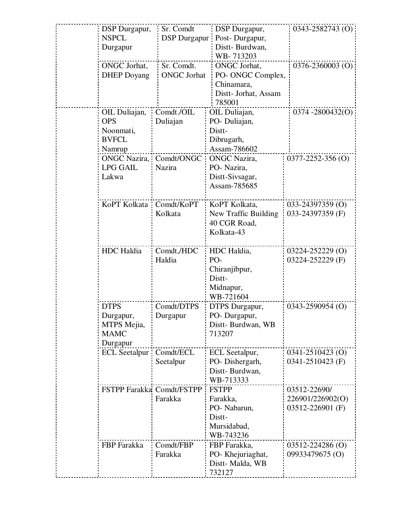| DSP Durgapur,             | Sr. Comdt           | DSP Durgapur,        | $0343 - 2582743$ (O)    |
|---------------------------|---------------------|----------------------|-------------------------|
| <b>NSPCL</b>              | <b>DSP</b> Durgapur | Post-Durgapur,       |                         |
| Durgapur                  |                     | Distt-Burdwan,       |                         |
|                           |                     | WB-713203            |                         |
| ONGC Jorhat,              | Sr. Comdt.          | ONGC Jorhat,         | 0376-2360003 (O)        |
| <b>DHEP</b> Doyang        | <b>ONGC</b> Jorhat  | PO- ONGC Complex,    |                         |
|                           |                     | Chinamara,           |                         |
|                           |                     | Distt- Jorhat, Assam |                         |
|                           |                     | 785001               |                         |
| OIL Duliajan,             | Comdt./OIL          | OIL Duliajan,        | $0374 - 2800432(0)$     |
| <b>OPS</b>                | Duliajan            | PO-Duliajan,         |                         |
| Noonmati,                 |                     | Distt-               |                         |
| <b>BVFCL</b>              |                     | Dibrugarh,           |                         |
| Namrup                    |                     | Assam-786602         |                         |
| <b>ONGC Nazira,</b>       | Comdt/ONGC          | <b>ONGC</b> Nazira,  | $0377 - 2252 - 356$ (O) |
| <b>LPG GAIL</b>           | Nazira              | PO- Nazira,          |                         |
| Lakwa                     |                     | Distt-Sivsagar,      |                         |
|                           |                     | Assam-785685         |                         |
|                           |                     |                      |                         |
| KoPT Kolkata Comdt/KoPT   |                     | KoPT Kolkata,        | 033-24397359 (O)        |
|                           | Kolkata             | New Traffic Building | 033-24397359 (F)        |
|                           |                     | 40 CGR Road,         |                         |
|                           |                     | Kolkata-43           |                         |
|                           |                     |                      |                         |
| <b>HDC</b> Haldia         | Comdt,/HDC          | HDC Haldia,          | 03224-252229 (O)        |
|                           | Haldia              | PO-                  | 03224-252229 (F)        |
|                           |                     | Chiranjibpur,        |                         |
|                           |                     | Distt-               |                         |
|                           |                     | Midnapur,            |                         |
|                           |                     | WB-721604            |                         |
| <b>DTPS</b>               | Comdt/DTPS          | DTPS Durgapur,       | 0343-2590954 (O)        |
| Durgapur,                 | Durgapur            | PO-Durgapur,         |                         |
| MTPS Mejia,               |                     | Distt-Burdwan, WB    |                         |
| <b>MAMC</b>               |                     | 713207               |                         |
| Durgapur                  |                     |                      |                         |
| <b>ECL</b> Seetalpur      | Comdt/ECL           | ECL Seetalpur,       | 0341-2510423 (O)        |
|                           | Seetalpur           | PO-Dishergarh,       | 0341-2510423 (F)        |
|                           |                     | Distt-Burdwan,       |                         |
|                           |                     | WB-713333            |                         |
| FSTPP Farakka Comdt/FSTPP |                     | <b>FSTPP</b>         | 03512-22690/            |
|                           | Farakka             | Farakka,             | 226901/226902(O)        |
|                           |                     | PO- Nabarun,         | 03512-226901 (F)        |
|                           |                     | Distt-               |                         |
|                           |                     | Mursidabad,          |                         |
|                           |                     | WB-743236            |                         |
| FBP Farakka               | Comdt/FBP           | FBP Farakka,         | 03512-224286 (O)        |
|                           | Farakka             | PO- Khejuriaghat,    | 09933479675 (O)         |
|                           |                     | Distt-Malda, WB      |                         |
|                           |                     | 732127               |                         |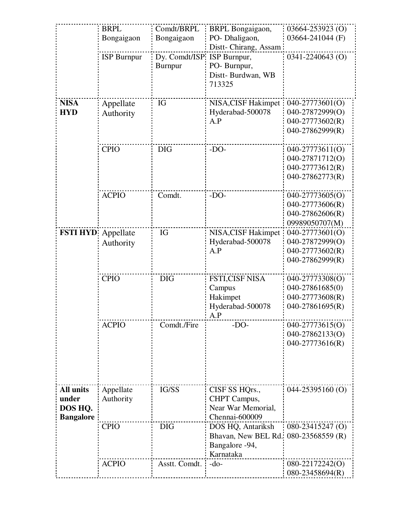|                  | <b>BRPL</b>        | Comdt/BRPL                  | <b>BRPL</b> Bongaigaon, | 03664-253923 (O)                   |
|------------------|--------------------|-----------------------------|-------------------------|------------------------------------|
|                  | Bongaigaon         | Bongaigaon                  | PO- Dhaligaon,          | 03664-241044 (F)                   |
|                  |                    |                             | Distt-Chirang, Assam    |                                    |
|                  | <b>ISP Burnpur</b> | Dy. Comdt/ISP: ISP Burnpur, |                         | 0341-2240643 (O)                   |
|                  |                    | Burnpur                     | PO- Burnpur,            |                                    |
|                  |                    |                             | Distt-Burdwan, WB       |                                    |
|                  |                    |                             | 713325                  |                                    |
|                  |                    |                             |                         |                                    |
| <b>NISA</b>      | Appellate          | IG                          | NISA, CISF Hakimpet     | 040-27773601(O)                    |
| <b>HYD</b>       | Authority          |                             | Hyderabad-500078        | 040-27872999(O)                    |
|                  |                    |                             | A.P                     | 040-27773602(R)                    |
|                  |                    |                             |                         | 040-27862999(R)                    |
|                  | <b>CPIO</b>        | <b>DIG</b>                  | $-DO-$                  | 040-27773611(O)                    |
|                  |                    |                             |                         | 040-27871712(O)                    |
|                  |                    |                             |                         | 040-27773612(R)                    |
|                  |                    |                             |                         | 040-27862773(R)                    |
|                  |                    |                             |                         |                                    |
|                  | <b>ACPIO</b>       | Comdt.                      | $-DO-$                  | 040-27773605(O)                    |
|                  |                    |                             |                         | 040-27773606(R)                    |
|                  |                    |                             |                         | 040-27862606(R)                    |
|                  |                    |                             |                         | 09989050707(M)                     |
|                  | FSTI HYD Appellate | IG                          | NISA, CISF Hakimpet     | 040-27773601(O)                    |
|                  | Authority          |                             | Hyderabad-500078        | 040-27872999(O)                    |
|                  |                    |                             | A.P                     | 040-27773602(R)                    |
|                  |                    |                             |                         | 040-27862999(R)                    |
|                  |                    |                             |                         |                                    |
|                  | <b>CPIO</b>        | <b>DIG</b>                  | <b>FSTI,CISF NISA</b>   | 040-27773308(O)                    |
|                  |                    |                             | Campus                  | 040-27861685(0)                    |
|                  |                    |                             | Hakimpet                | 040-27773608(R)                    |
|                  |                    |                             | Hyderabad-500078        | 040-27861695(R)                    |
|                  |                    |                             | A.P                     |                                    |
|                  | <b>ACPIO</b>       | Comdt./Fire                 | $-DO-$                  | 040-27773615(O)<br>040-27862133(O) |
|                  |                    |                             |                         | 040-27773616(R)                    |
|                  |                    |                             |                         |                                    |
|                  |                    |                             |                         |                                    |
|                  |                    |                             |                         |                                    |
|                  |                    |                             |                         |                                    |
| <b>All units</b> | Appellate          | IG/SS                       | CISF SS HQrs.,          | $044 - 25395160$ (O)               |
| under            | Authority          |                             | CHPT Campus,            |                                    |
| DOS HQ.          |                    |                             | Near War Memorial,      |                                    |
| <b>Bangalore</b> |                    |                             | Chennai-600009          |                                    |
|                  | <b>CPIO</b>        | <b>DIG</b>                  | DOS HQ, Antariksh       | 080-23415247 (O)                   |
|                  |                    |                             | Bhavan, New BEL Rd.     | $080-23568559$ (R)                 |
|                  |                    |                             | Bangalore -94,          |                                    |
|                  |                    |                             | Karnataka               |                                    |
|                  | <b>ACPIO</b>       | Asstt. Comdt.               | $-do-$                  | 080-22172242(O)                    |
|                  |                    |                             |                         | 080-23458694(R)                    |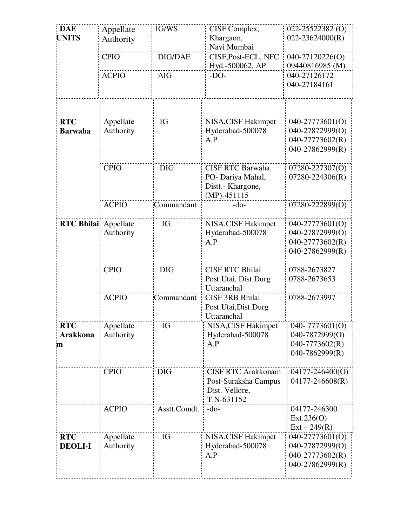| <b>DAE</b><br><b>UNITS</b>         | Appellate<br>Authority | IG/WS          | CISF Complex,<br>Khargaon,<br>Navi Mumbai                                         | 022-25522382 (O)<br>$022 - 23624000(R)$                                  |
|------------------------------------|------------------------|----------------|-----------------------------------------------------------------------------------|--------------------------------------------------------------------------|
|                                    | <b>CPIO</b>            | <b>DIG/DAE</b> | CISF, Post-ECL, NFC<br>Hyd.-500062, AP                                            | 040-27120226(O)<br>09440816985 (M)                                       |
|                                    | <b>ACPIO</b>           | <b>AIG</b>     | $-DO-$                                                                            | 040-27126172<br>040-27184161                                             |
| <b>RTC</b><br><b>Barwaha</b>       | Appellate<br>Authority | IG             | NISA, CISF Hakimpet<br>Hyderabad-500078<br>A.P                                    | 040-27773601(O)<br>040-27872999(O)<br>040-27773602(R)<br>040-27862999(R) |
|                                    | <b>CPIO</b>            | <b>DIG</b>     | CISF RTC Barwaha,<br>PO- Dariya Mahal,<br>Distt.- Khargone,<br>$(MP) - 451115$    | 07280-227307(O)<br>$07280 - 224306(R)$                                   |
|                                    | <b>ACPIO</b>           | Commandant     | $-do-$                                                                            | 07280-222899(O)                                                          |
| <b>RTC Bhilai</b> Appellate        | Authority              | IG             | NISA, CISF Hakimpet<br>Hyderabad-500078<br>A.P                                    | 040-27773601(O)<br>040-27872999(O)<br>040-27773602(R)<br>040-27862999(R) |
|                                    | <b>CPIO</b>            | <b>DIG</b>     | <b>CISF RTC Bhilai</b><br>Post. Utai, Dist. Durg<br>Uttaranchal                   | 0788-2673827<br>0788-2673653                                             |
|                                    | <b>ACPIO</b>           | Commandant     | <b>CISF 3RB Bhilai</b><br>Post.Utai,Dist.Durg<br>Uttaranchal                      | 0788-2673997                                                             |
| <b>RTC</b><br><b>Arakkona</b><br>m | Appellate<br>Authority | IG             | NISA, CISF Hakimpet<br>Hyderabad-500078<br>A.P                                    | 040-7773601(O)<br>040-7872999(O)<br>040-7773602(R)<br>040-7862999(R)     |
|                                    | <b>CPIO</b>            | <b>DIG</b>     | <b>CISF RTC Arakkonam</b><br>Post-Suraksha Campus<br>Dist. Vellore,<br>T.N-631152 | 04177-246400(O)<br>04177-246608(R)                                       |
|                                    | <b>ACPIO</b>           | Asstt.Comdt.   | $-do-$                                                                            | 04177-246300<br>Ext.236(O)<br>$Ext - 249(R)$                             |
| <b>RTC</b><br><b>DEOLI-I</b>       | Appellate<br>Authority | IG             | NISA, CISF Hakimpet<br>Hyderabad-500078<br>A.P                                    | 040-27773601(O)<br>040-27872999(O)<br>040-27773602(R)<br>040-27862999(R) |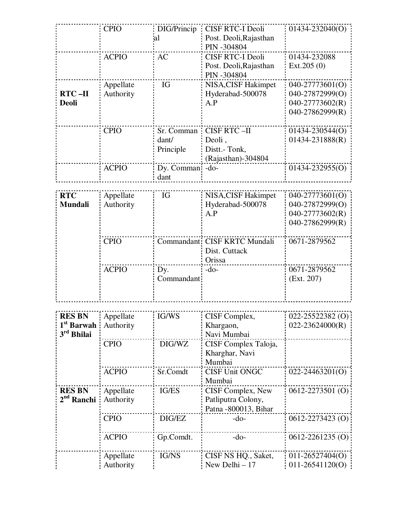|                        | <b>CPIO</b>  | DIG/Princip | <b>CISF RTC-I Deoli</b>       | 01434-232040(O)      |
|------------------------|--------------|-------------|-------------------------------|----------------------|
|                        |              | al          | Post. Deoli, Rajasthan        |                      |
|                        |              |             | PIN -304804                   |                      |
|                        |              |             |                               |                      |
|                        | <b>ACPIO</b> | AC          | <b>CISF RTC-I Deoli</b>       | 01434-232088         |
|                        |              |             | Post. Deoli, Rajasthan        | Ext.205(0)           |
|                        |              |             | PIN -304804                   |                      |
|                        | Appellate    | IG          | NISA, CISF Hakimpet           | 040-27773601(O)      |
| $RTC - II$             | Authority    |             | Hyderabad-500078              | 040-27872999(O)      |
|                        |              |             |                               |                      |
| <b>Deoli</b>           |              |             | A.P                           | 040-27773602(R)      |
|                        |              |             |                               | 040-27862999(R)      |
|                        |              |             |                               |                      |
|                        | <b>CPIO</b>  | Sr. Comman  | <b>CISF RTC-II</b>            | 01434-230544(O)      |
|                        |              | dant/       | Deoli,                        | $01434 - 231888(R)$  |
|                        |              | Principle   | Distt.-Tonk,                  |                      |
|                        |              |             |                               |                      |
|                        |              |             | (Rajasthan)-304804            |                      |
|                        | <b>ACPIO</b> | Dy. Comman  | $-do-$                        | $01434 - 232955(0)$  |
|                        |              | dant        |                               |                      |
|                        |              |             |                               |                      |
| <b>RTC</b>             | Appellate    | IG          | NISA, CISF Hakimpet           | 040-27773601(O)      |
| <b>Mundali</b>         | Authority    |             | Hyderabad-500078              | 040-27872999(O)      |
|                        |              |             | A.P                           | 040-27773602(R)      |
|                        |              |             |                               |                      |
|                        |              |             |                               | 040-27862999(R)      |
|                        |              |             |                               |                      |
|                        | <b>CPIO</b>  |             | Commandant: CISF KRTC Mundali | 0671-2879562         |
|                        |              |             | Dist. Cuttack                 |                      |
|                        |              |             | Orissa                        |                      |
|                        | <b>ACPIO</b> | Dy.         | $-do-$                        | 0671-2879562         |
|                        |              | Commandant  |                               | (Ext. 207)           |
|                        |              |             |                               |                      |
|                        |              |             |                               |                      |
|                        |              |             |                               |                      |
|                        |              |             |                               |                      |
| <b>RES BN</b>          | Appellate    | IG/WS       | CISF Complex,                 | $022 - 25522382$ (O) |
| 1 <sup>st</sup> Barwah | Authority    |             | Khargaon,                     | $022 - 23624000(R)$  |
| 3 <sup>rd</sup> Bhilai |              |             | Navi Mumbai                   |                      |
|                        | <b>CPIO</b>  | DIG/WZ      | CISF Complex Taloja,          |                      |
|                        |              |             |                               |                      |
|                        |              |             | Kharghar, Navi                |                      |
|                        |              |             | Mumbai                        |                      |
|                        | <b>ACPIO</b> | Sr.Comdt    | <b>CISF Unit ONGC</b>         | $022 - 24463201(0)$  |
|                        |              |             | Mumbai                        |                      |
| <b>RES BN</b>          | Appellate    | IG/ES       | CISF Complex, New             | $0612 - 2273501$ (O) |
| 2 <sup>nd</sup> Ranchi | Authority    |             | Patliputra Colony,            |                      |
|                        |              |             |                               |                      |
|                        |              |             | Patna -800013, Bihar          |                      |
|                        | <b>CPIO</b>  | DIG/EZ      | $-do-$                        | $0612 - 2273423$ (O) |
|                        |              |             |                               |                      |
|                        | <b>ACPIO</b> | Gp.Comdt.   | $-do-$                        | $0612 - 2261235$ (O) |
|                        |              |             |                               |                      |
|                        |              |             |                               |                      |
|                        | Appellate    | IG/NS       | CISF NS HQ., Saket,           | $011-26527404(O)$    |
|                        | Authority    |             | New Delhi - 17                | $011-26541120(0)$    |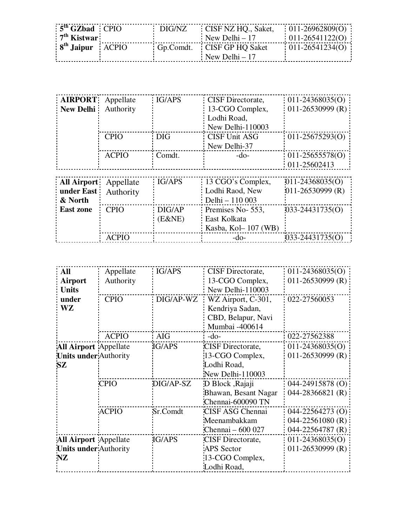| $5th$ GZbad CPIO     | : DIG/NZ | CISF NZ HQ., Saket,        | $011-26962809(O)$   |
|----------------------|----------|----------------------------|---------------------|
| $7th$ Kistwar        |          | New Delhi – 17             | $011-26541122(O)$   |
| $8th$ Jaipur $ACPIO$ |          | Gp.Comdt. CISF GP HO Saket | $011 - 26541234(0)$ |
|                      |          | New Delhi – 17             |                     |

| <b>AIRPORT</b> Appellate<br>New Delhi Authority |              | IG/APS | CISF Directorate,<br>13-CGO Complex,<br>Lodhi Road, | $011-24368035(O)$<br>$011-26530999$ (R) |
|-------------------------------------------------|--------------|--------|-----------------------------------------------------|-----------------------------------------|
|                                                 |              |        | New Delhi-110003                                    |                                         |
|                                                 | <b>CPIO</b>  | : DIG  | CISF Unit ASG<br>New Delhi-37                       | $011-25675293(0)$                       |
|                                                 | <b>ACPIO</b> | Comdt. | $-do-$                                              | $011-25655578(0)$<br>011-25602413       |
|                                                 |              |        |                                                     |                                         |
| All Airport                                     | Appellate    | IG/APS | 13 CGO's Complex,                                   | $011 - 24368035(O)$                     |
| under East                                      | Authority    |        | Lodhi Raod, New                                     | $011 - 26530999$ (R)                    |
| & North                                         |              |        | Delhi - 110 003                                     |                                         |
| <b>East zone</b>                                | <b>CPIO</b>  | DIG/AP | Premises No-553,                                    | 033-24431735(O)                         |

|              |              | (E&NE)    | East Kolkata                                                                               |                     |  |
|--------------|--------------|-----------|--------------------------------------------------------------------------------------------|---------------------|--|
|              |              |           | Kasba, Kol – 107 (WB)                                                                      |                     |  |
|              | <b>ACPIO</b> |           | $-do-$                                                                                     | $033 - 24431735(0)$ |  |
|              |              |           |                                                                                            |                     |  |
|              |              |           |                                                                                            |                     |  |
|              |              |           |                                                                                            |                     |  |
| <b>All</b>   | Appellate    | IG/APS    | CISF Directorate,                                                                          | $011-24368035(O)$   |  |
| Airport      | Authority    |           | 13-CGO Complex,                                                                            | $011-26530999$ (R)  |  |
| <b>Units</b> |              |           | New Delhi-110003                                                                           |                     |  |
| under        | <b>CPIO</b>  | DIG/AP-WZ | WZ Airport, C-301,                                                                         | 022-27560053        |  |
| <b>WZ</b>    |              |           | Kendriya Sadan,                                                                            |                     |  |
|              |              |           | CBD, Belapur, Navi                                                                         |                     |  |
|              |              |           | $\mathbf{M}$ $\mathbf{1}$ $\mathbf{1}$ $\mathbf{1}$ $\mathbf{1}$ $\mathbf{1}$ $\mathbf{1}$ |                     |  |

| WZ.                          |              |           | Kendriya Sadan,      |                      |
|------------------------------|--------------|-----------|----------------------|----------------------|
|                              |              |           | CBD, Belapur, Navi   |                      |
|                              |              |           | Mumbai -400614       |                      |
|                              | <b>ACPIO</b> | AIG       | $-do-$               | 022-27562388         |
| <b>All Airport</b> Appellate |              | IG/APS    | CISF Directorate,    | $011 - 24368035(O)$  |
| <b>Units under Authority</b> |              |           | 13-CGO Complex,      | 011-26530999 (R)     |
| SZ                           |              |           | Lodhi Road,          |                      |
|                              |              |           | New Delhi-110003     |                      |
|                              | <b>CPIO</b>  | DIG/AP-SZ | D Block , Rajaji     | 044-24915878 (O)     |
|                              |              |           | Bhawan, Besant Nagar | $044 - 28366821$ (R) |
|                              |              |           | Chennai-600090 TN    |                      |
|                              | <b>ACPIO</b> | Sr.Comdt  | CISF ASG Chennai     | $044 - 22564273$ (O) |
|                              |              |           | Meenambakkam         | 044-22561080 (R)     |
|                              |              |           | Chennai - 600 027    | $044 - 22564787$ (R) |
| <b>All Airport</b> Appellate |              | IG/APS    | CISF Directorate,    | $011-24368035(O)$    |
| <b>Units under Authority</b> |              |           | <b>APS</b> Sector    | 011-26530999 (R)     |
| <b>NZ</b>                    |              |           | 13-CGO Complex,      |                      |
|                              |              |           | Lodhi Road,          |                      |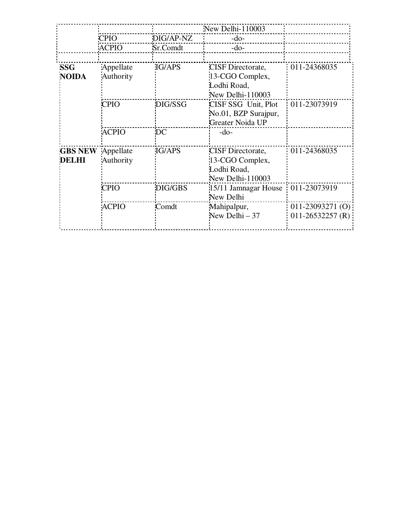|                                |                        |               | New Delhi-110003                                                               |                                         |
|--------------------------------|------------------------|---------------|--------------------------------------------------------------------------------|-----------------------------------------|
|                                | <b>CPIO</b>            | DIG/AP-NZ     | $-do-$                                                                         |                                         |
|                                | <b>ACPIO</b>           | Sr.Comdt      | $-do-$                                                                         |                                         |
|                                |                        |               |                                                                                |                                         |
| <b>SSG</b><br><b>NOIDA</b>     | Appellate<br>Authority | IG/APS        | <b>CISF</b> Directorate,<br>13-CGO Complex,<br>Lodhi Road,<br>New Delhi-110003 | 011-24368035                            |
|                                | <b>CPIO</b>            | DIG/SSG       | CISF SSG Unit, Plot<br>No.01, BZP Surajpur,<br>Greater Noida UP                | 011-23073919                            |
|                                | <b>ACPIO</b>           | DC            | $-do-$                                                                         |                                         |
| <b>GBS NEW</b><br><b>DELHI</b> | Appellate<br>Authority | <b>IG/APS</b> | <b>CISF</b> Directorate,<br>13-CGO Complex,<br>Lodhi Road,<br>New Delhi-110003 | 011-24368035                            |
|                                | <b>CPIO</b>            | DIG/GBS       | 15/11 Jamnagar House<br>New Delhi                                              | 011-23073919                            |
|                                | <b>ACPIO</b>           | Comdt         | Mahipalpur,<br>New Delhi $-37$                                                 | $011-23093271(0)$<br>$011-26532257$ (R) |